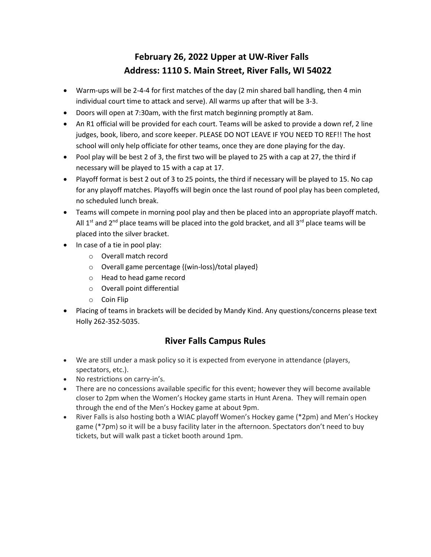## **February 26, 2022 Upper at UW-River Falls Address: 1110 S. Main Street, River Falls, WI 54022**

- Warm-ups will be 2-4-4 for first matches of the day (2 min shared ball handling, then 4 min individual court time to attack and serve). All warms up after that will be 3-3.
- Doors will open at 7:30am, with the first match beginning promptly at 8am.
- An R1 official will be provided for each court. Teams will be asked to provide a down ref, 2 line judges, book, libero, and score keeper. PLEASE DO NOT LEAVE IF YOU NEED TO REF!! The host school will only help officiate for other teams, once they are done playing for the day.
- Pool play will be best 2 of 3, the first two will be played to 25 with a cap at 27, the third if necessary will be played to 15 with a cap at 17.
- Playoff format is best 2 out of 3 to 25 points, the third if necessary will be played to 15. No cap for any playoff matches. Playoffs will begin once the last round of pool play has been completed, no scheduled lunch break.
- Teams will compete in morning pool play and then be placed into an appropriate playoff match. All  $1<sup>st</sup>$  and  $2<sup>nd</sup>$  place teams will be placed into the gold bracket, and all  $3<sup>rd</sup>$  place teams will be placed into the silver bracket.
- In case of a tie in pool play:
	- o Overall match record
	- o Overall game percentage {(win-loss)/total played}
	- o Head to head game record
	- o Overall point differential
	- o Coin Flip
- Placing of teams in brackets will be decided by Mandy Kind. Any questions/concerns please text Holly 262-352-5035.

## **River Falls Campus Rules**

- We are still under a mask policy so it is expected from everyone in attendance (players, spectators, etc.).
- No restrictions on carry-in's.
- There are no concessions available specific for this event; however they will become available closer to 2pm when the Women's Hockey game starts in Hunt Arena. They will remain open through the end of the Men's Hockey game at about 9pm.
- River Falls is also hosting both a WIAC playoff Women's Hockey game (\*2pm) and Men's Hockey game (\*7pm) so it will be a busy facility later in the afternoon. Spectators don't need to buy tickets, but will walk past a ticket booth around 1pm.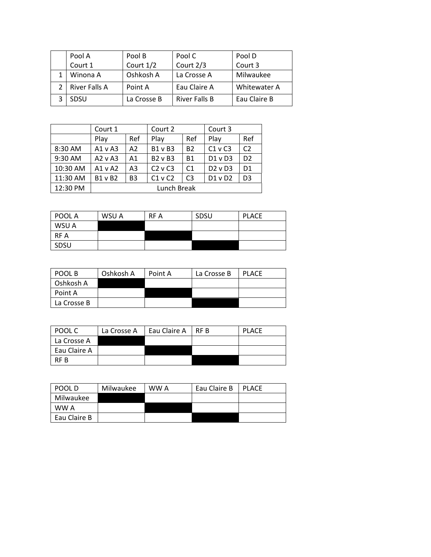| Pool A        | Pool B      | Pool C               | Pool D              |
|---------------|-------------|----------------------|---------------------|
| Court 1       | Court 1/2   | Court 2/3            | Court 3             |
| Winona A      | Oshkosh A   | La Crosse A          | Milwaukee           |
| River Falls A | Point A     | Eau Claire A         | <b>Whitewater A</b> |
| SDSU          | La Crosse B | <b>River Falls B</b> | Eau Claire B        |

|          | Court 1        |                | Court 2        |                | Court 3     |                |
|----------|----------------|----------------|----------------|----------------|-------------|----------------|
|          | Play           | Ref            | Play           | Ref            | Play        | Ref            |
| 8:30 AM  | A1 v A3        | A2             | <b>B1 v B3</b> | <b>B2</b>      | $C1$ v $C3$ | C <sub>2</sub> |
| 9:30 AM  | $A2$ v $A3$    | Α1             | $B2 \vee B3$   | <b>B1</b>      | $D1$ v $D3$ | D <sub>2</sub> |
| 10:30 AM | $A1 \vee A2$   | A <sub>3</sub> | $C2$ v $C3$    | C <sub>1</sub> | $D2$ v $D3$ | D <sub>1</sub> |
| 11:30 AM | <b>B1 v B2</b> | B <sub>3</sub> | $C1$ v $C2$    | C <sub>3</sub> | $D1$ v $D2$ | D3             |
| 12:30 PM | Lunch Break    |                |                |                |             |                |

| POOL A | WSU A | RF A | SDSU | <b>PLACE</b> |
|--------|-------|------|------|--------------|
| WSU A  |       |      |      |              |
| RF A   |       |      |      |              |
| SDSU   |       |      |      |              |

| POOL B      | Oshkosh A | Point A | La Crosse B | <b>PLACE</b> |
|-------------|-----------|---------|-------------|--------------|
| Oshkosh A   |           |         |             |              |
| Point A     |           |         |             |              |
| La Crosse B |           |         |             |              |

| POOL C       | La Crosse A | Eau Claire A | IRF B | <b>PLACE</b> |
|--------------|-------------|--------------|-------|--------------|
| La Crosse A  |             |              |       |              |
| Eau Claire A |             |              |       |              |
| <b>RF R</b>  |             |              |       |              |

| POOL D       | Milwaukee | WW A | Eau Claire B | <b>PLACE</b> |
|--------------|-----------|------|--------------|--------------|
| Milwaukee    |           |      |              |              |
| WW A         |           |      |              |              |
| Eau Claire B |           |      |              |              |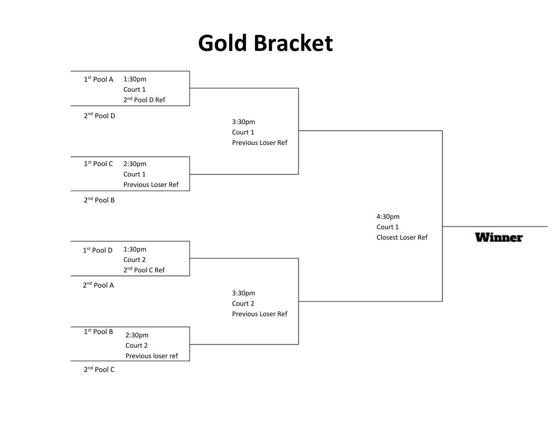## **Gold Bracket**



2<sup>nd</sup> Pool C